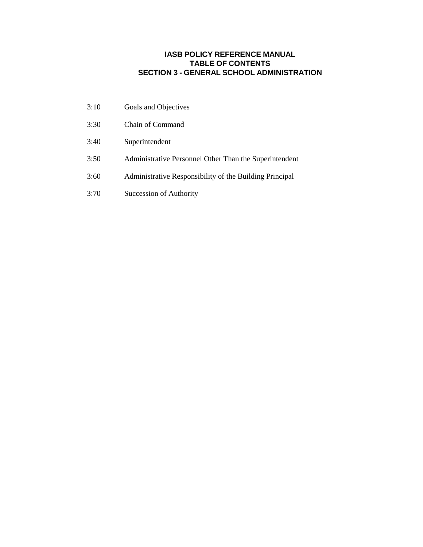### **IASB POLICY REFERENCE MANUAL TABLE OF CONTENTS SECTION 3 - GENERAL SCHOOL ADMINISTRATION**

- 3:10 Goals and Objectives
- 3:30 Chain of Command
- 3:40 Superintendent
- 3:50 Administrative Personnel Other Than the Superintendent
- 3:60 Administrative Responsibility of the Building Principal
- 3:70 Succession of Authority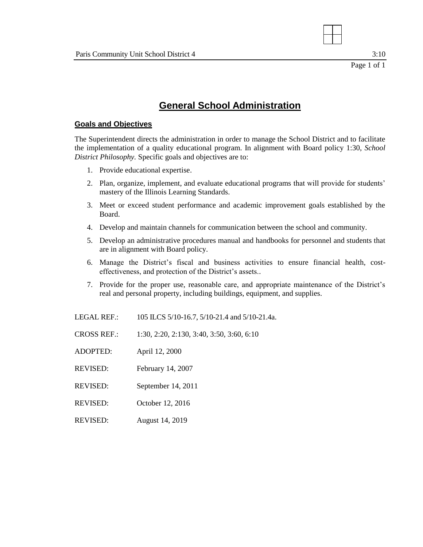

# **General School Administration**

#### **Goals and Objectives**

The Superintendent directs the administration in order to manage the School District and to facilitate the implementation of a quality educational program. In alignment with Board policy 1:30, *School District Philosophy.* Specific goals and objectives are to:

- 1. Provide educational expertise.
- 2. Plan, organize, implement, and evaluate educational programs that will provide for students' mastery of the Illinois Learning Standards.
- 3. Meet or exceed student performance and academic improvement goals established by the Board.
- 4. Develop and maintain channels for communication between the school and community.
- 5. Develop an administrative procedures manual and handbooks for personnel and students that are in alignment with Board policy.
- 6. Manage the District's fiscal and business activities to ensure financial health, costeffectiveness, and protection of the District's assets..
- 7. Provide for the proper use, reasonable care, and appropriate maintenance of the District's real and personal property, including buildings, equipment, and supplies.
- LEGAL REF.: 105 ILCS 5/10-16.7, 5/10-21.4 and 5/10-21.4a.

CROSS REF.: 1:30, 2:20, 2:130, 3:40, 3:50, 3:60, 6:10

- ADOPTED: April 12, 2000
- REVISED: February 14, 2007
- REVISED: September 14, 2011
- REVISED: October 12, 2016
- REVISED: August 14, 2019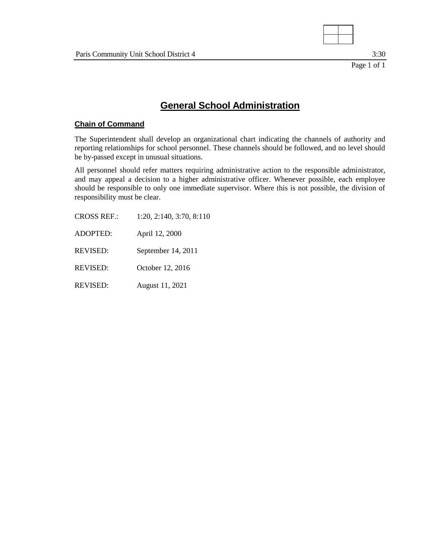

3:30

## **General School Administration**

#### **Chain of Command**

The Superintendent shall develop an organizational chart indicating the channels of authority and reporting relationships for school personnel. These channels should be followed, and no level should be by-passed except in unusual situations.

All personnel should refer matters requiring administrative action to the responsible administrator, and may appeal a decision to a higher administrative officer. Whenever possible, each employee should be responsible to only one immediate supervisor. Where this is not possible, the division of responsibility must be clear.

CROSS REF.: 1:20, 2:140, 3:70, 8:110 ADOPTED: April 12, 2000 REVISED: September 14, 2011 REVISED: October 12, 2016 REVISED: August 11, 2021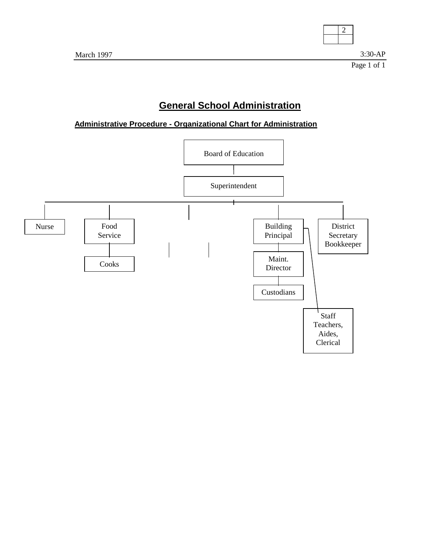

**Administrative Procedure - Organizational Chart for Administration**

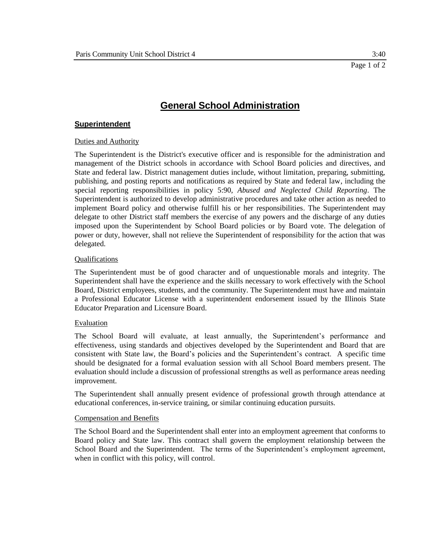#### **Superintendent**

#### Duties and Authority

The Superintendent is the District's executive officer and is responsible for the administration and management of the District schools in accordance with School Board policies and directives, and State and federal law. District management duties include, without limitation, preparing, submitting, publishing, and posting reports and notifications as required by State and federal law, including the special reporting responsibilities in policy 5:90, *Abused and Neglected Child Reporting*. The Superintendent is authorized to develop administrative procedures and take other action as needed to implement Board policy and otherwise fulfill his or her responsibilities. The Superintendent may delegate to other District staff members the exercise of any powers and the discharge of any duties imposed upon the Superintendent by School Board policies or by Board vote. The delegation of power or duty, however, shall not relieve the Superintendent of responsibility for the action that was delegated.

#### Qualifications

The Superintendent must be of good character and of unquestionable morals and integrity. The Superintendent shall have the experience and the skills necessary to work effectively with the School Board, District employees, students, and the community. The Superintendent must have and maintain a Professional Educator License with a superintendent endorsement issued by the Illinois State Educator Preparation and Licensure Board.

#### Evaluation

The School Board will evaluate, at least annually, the Superintendent's performance and effectiveness, using standards and objectives developed by the Superintendent and Board that are consistent with State law, the Board's policies and the Superintendent's contract. A specific time should be designated for a formal evaluation session with all School Board members present. The evaluation should include a discussion of professional strengths as well as performance areas needing improvement.

The Superintendent shall annually present evidence of professional growth through attendance at educational conferences, in-service training, or similar continuing education pursuits.

#### Compensation and Benefits

The School Board and the Superintendent shall enter into an employment agreement that conforms to Board policy and State law. This contract shall govern the employment relationship between the School Board and the Superintendent. The terms of the Superintendent's employment agreement, when in conflict with this policy, will control.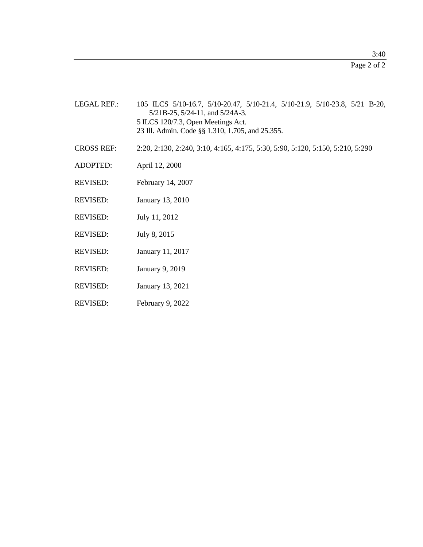Page 2 of 2

- LEGAL REF.: 105 ILCS 5/10-16.7, 5/10-20.47, 5/10-21.4, 5/10-21.9, 5/10-23.8, 5/21 B-20, 5/21B-25, 5/24-11, and 5/24A-3. 5 ILCS 120/7.3, Open Meetings Act. 23 Ill. Admin. Code §§ 1.310, 1.705, and 25.355.
- CROSS REF: 2:20, 2:130, 2:240, 3:10, 4:165, 4:175, 5:30, 5:90, 5:120, 5:150, 5:210, 5:290
- ADOPTED: April 12, 2000
- REVISED: February 14, 2007
- REVISED: January 13, 2010
- REVISED: July 11, 2012
- REVISED: July 8, 2015
- REVISED: January 11, 2017
- REVISED: January 9, 2019
- REVISED: January 13, 2021
- REVISED: February 9, 2022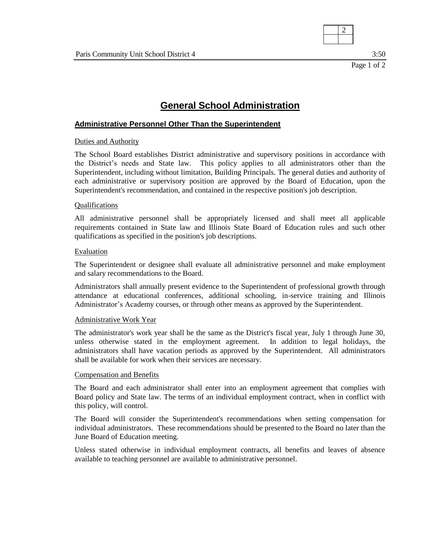

3:50

### **General School Administration**

#### **Administrative Personnel Other Than the Superintendent**

#### Duties and Authority

The School Board establishes District administrative and supervisory positions in accordance with the District's needs and State law. This policy applies to all administrators other than the Superintendent, including without limitation, Building Principals. The general duties and authority of each administrative or supervisory position are approved by the Board of Education, upon the Superintendent's recommendation, and contained in the respective position's job description.

#### **Qualifications**

All administrative personnel shall be appropriately licensed and shall meet all applicable requirements contained in State law and Illinois State Board of Education rules and such other qualifications as specified in the position's job descriptions.

#### Evaluation

The Superintendent or designee shall evaluate all administrative personnel and make employment and salary recommendations to the Board.

Administrators shall annually present evidence to the Superintendent of professional growth through attendance at educational conferences, additional schooling, in-service training and Illinois Administrator's Academy courses, or through other means as approved by the Superintendent.

#### Administrative Work Year

The administrator's work year shall be the same as the District's fiscal year, July 1 through June 30, unless otherwise stated in the employment agreement. In addition to legal holidays, the administrators shall have vacation periods as approved by the Superintendent. All administrators shall be available for work when their services are necessary.

#### Compensation and Benefits

The Board and each administrator shall enter into an employment agreement that complies with Board policy and State law. The terms of an individual employment contract, when in conflict with this policy, will control.

The Board will consider the Superintendent's recommendations when setting compensation for individual administrators. These recommendations should be presented to the Board no later than the June Board of Education meeting.

Unless stated otherwise in individual employment contracts, all benefits and leaves of absence available to teaching personnel are available to administrative personnel.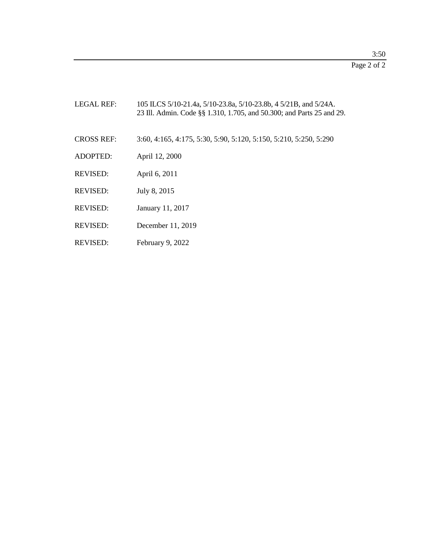Page 2 of 2

| <b>LEGAL REF:</b> | 105 ILCS 5/10-21.4a, 5/10-23.8a, 5/10-23.8b, 4 5/21B, and 5/24A.<br>23 Ill. Admin. Code §§ 1.310, 1.705, and 50.300; and Parts 25 and 29. |
|-------------------|-------------------------------------------------------------------------------------------------------------------------------------------|
| <b>CROSS REF:</b> | 3:60, 4:165, 4:175, 5:30, 5:90, 5:120, 5:150, 5:210, 5:250, 5:290                                                                         |
| <b>ADOPTED:</b>   | April 12, 2000                                                                                                                            |
| <b>REVISED:</b>   | April 6, 2011                                                                                                                             |
| <b>REVISED:</b>   | July 8, 2015                                                                                                                              |
| <b>REVISED:</b>   | January 11, 2017                                                                                                                          |
| <b>REVISED:</b>   | December $11, 2019$                                                                                                                       |

REVISED: February 9, 2022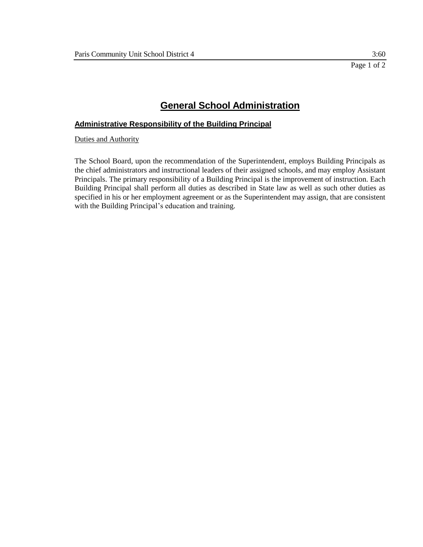#### **Administrative Responsibility of the Building Principal**

Duties and Authority

The School Board, upon the recommendation of the Superintendent, employs Building Principals as the chief administrators and instructional leaders of their assigned schools, and may employ Assistant Principals. The primary responsibility of a Building Principal is the improvement of instruction. Each Building Principal shall perform all duties as described in State law as well as such other duties as specified in his or her employment agreement or as the Superintendent may assign, that are consistent with the Building Principal's education and training.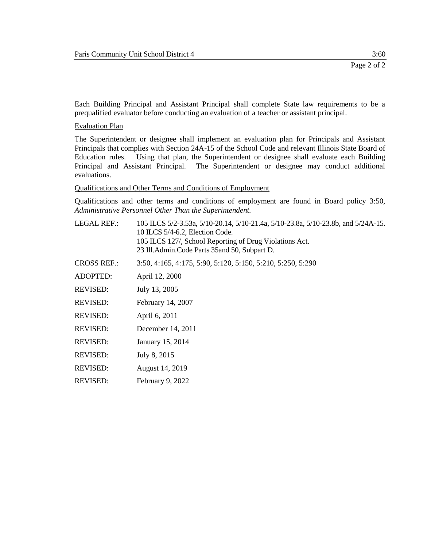Each Building Principal and Assistant Principal shall complete State law requirements to be a prequalified evaluator before conducting an evaluation of a teacher or assistant principal.

Evaluation Plan

The Superintendent or designee shall implement an evaluation plan for Principals and Assistant Principals that complies with Section 24A-15 of the School Code and relevant Illinois State Board of Education rules. Using that plan, the Superintendent or designee shall evaluate each Building Principal and Assistant Principal. The Superintendent or designee may conduct additional evaluations.

Qualifications and Other Terms and Conditions of Employment

Qualifications and other terms and conditions of employment are found in Board policy 3:50, *Administrative Personnel Other Than the Superintendent.*

LEGAL REF.: 105 ILCS 5/2-3.53a, 5/10-20.14, 5/10-21.4a, 5/10-23.8a, 5/10-23.8b, and 5/24A-15. 10 ILCS 5/4-6.2, Election Code. 105 ILCS 127/, School Reporting of Drug Violations Act. 23 Ill.Admin.Code Parts 35and 50, Subpart D. CROSS REF.: 3:50, 4:165, 4:175, 5:90, 5:120, 5:150, 5:210, 5:250, 5:290 ADOPTED: April 12, 2000 REVISED: July 13, 2005 REVISED: February 14, 2007 REVISED: April 6, 2011 REVISED: December 14, 2011 REVISED: January 15, 2014 REVISED: July 8, 2015 REVISED: August 14, 2019 REVISED: February 9, 2022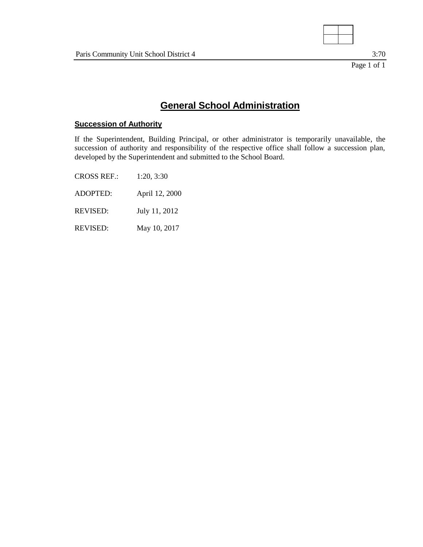

3:70

## **General School Administration**

### **Succession of Authority**

If the Superintendent, Building Principal, or other administrator is temporarily unavailable, the succession of authority and responsibility of the respective office shall follow a succession plan, developed by the Superintendent and submitted to the School Board.

CROSS REF.: 1:20, 3:30 ADOPTED: April 12, 2000 REVISED: July 11, 2012 REVISED: May 10, 2017